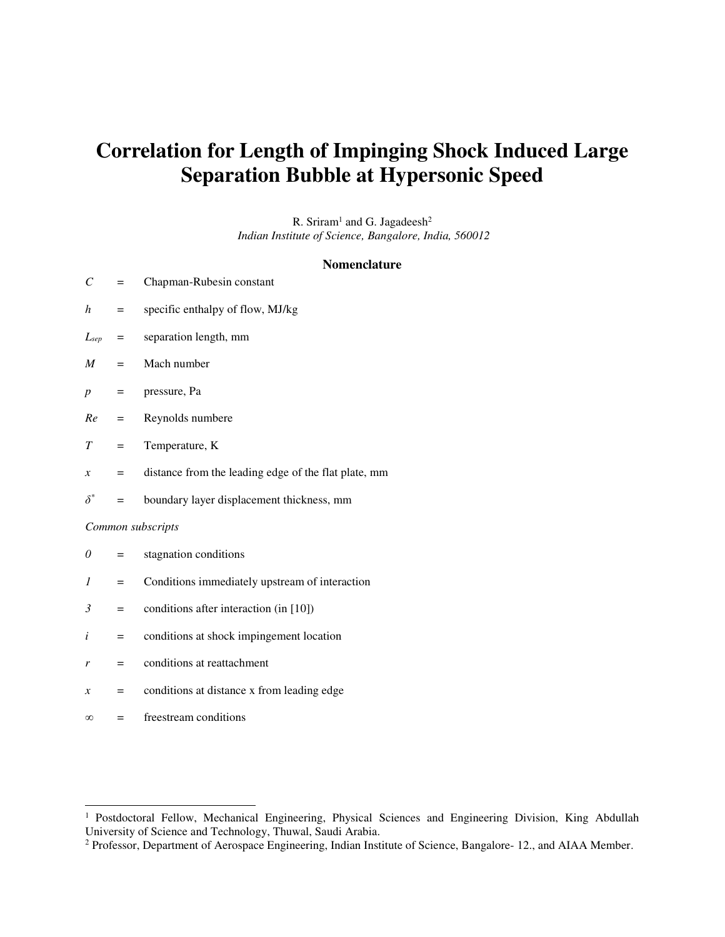# **Correlation for Length of Impinging Shock Induced Large Separation Bubble at Hypersonic Speed**

R. Sriram<sup>1</sup> and G. Jagadeesh<sup>2</sup>  *Indian Institute of Science, Bangalore, India, 560012* 

### **Nomenclature**

| $\mathcal{C}_{0}^{0}$      | $=$ | Chapman-Rubesin constant                             |  |  |  |  |
|----------------------------|-----|------------------------------------------------------|--|--|--|--|
| h                          | $=$ | specific enthalpy of flow, MJ/kg                     |  |  |  |  |
| $L_{sep}$                  | $=$ | separation length, mm                                |  |  |  |  |
| M                          | $=$ | Mach number                                          |  |  |  |  |
| $\boldsymbol{p}$           | $=$ | pressure, Pa                                         |  |  |  |  |
| Re                         | $=$ | Reynolds numbere                                     |  |  |  |  |
| $\boldsymbol{T}$           | $=$ | Temperature, K                                       |  |  |  |  |
| $\mathcal{X}$              | $=$ | distance from the leading edge of the flat plate, mm |  |  |  |  |
| $\delta^*$                 | $=$ | boundary layer displacement thickness, mm            |  |  |  |  |
| Common subscripts          |     |                                                      |  |  |  |  |
| 0                          | $=$ | stagnation conditions                                |  |  |  |  |
| 1                          | $=$ | Conditions immediately upstream of interaction       |  |  |  |  |
| 3                          | $=$ | conditions after interaction (in [10])               |  |  |  |  |
| i                          | $=$ | conditions at shock impingement location             |  |  |  |  |
| r                          | $=$ | conditions at reattachment                           |  |  |  |  |
| $\boldsymbol{\mathcal{X}}$ | $=$ | conditions at distance x from leading edge           |  |  |  |  |
| $\infty$                   | $=$ | freestream conditions                                |  |  |  |  |

<sup>&</sup>lt;sup>1</sup> Postdoctoral Fellow, Mechanical Engineering, Physical Sciences and Engineering Division, King Abdullah University of Science and Technology, Thuwal, Saudi Arabia.

<sup>&</sup>lt;sup>2</sup> Professor, Department of Aerospace Engineering, Indian Institute of Science, Bangalore-12., and AIAA Member.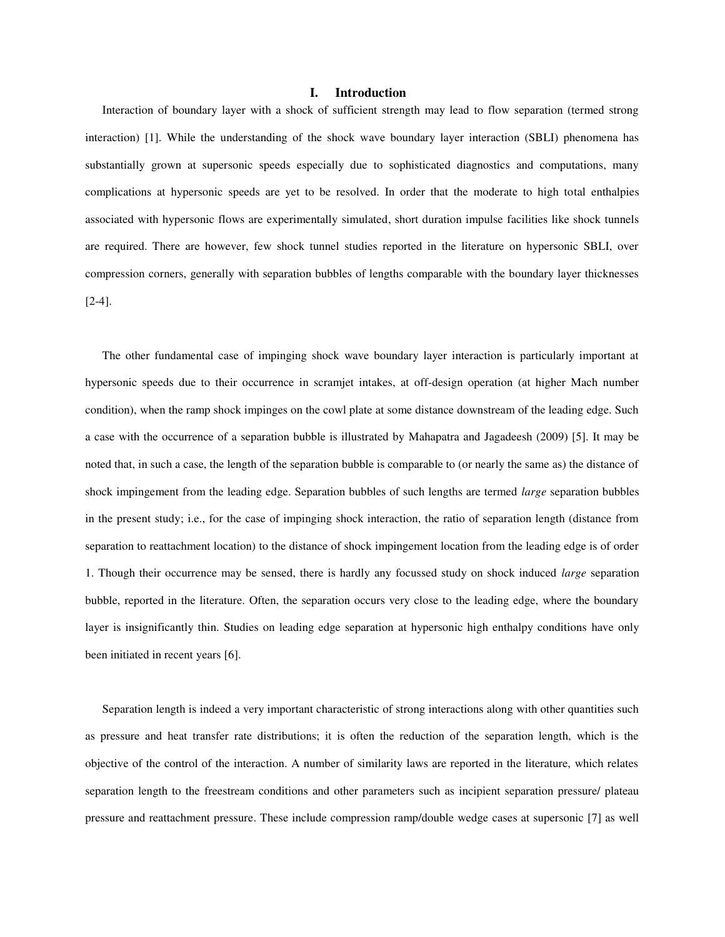#### **I. Introduction**

Interaction of boundary layer with a shock of sufficient strength may lead to flow separation (termed strong interaction) [1]. While the understanding of the shock wave boundary layer interaction (SBLI) phenomena has substantially grown at supersonic speeds especially due to sophisticated diagnostics and computations, many complications at hypersonic speeds are yet to be resolved. In order that the moderate to high total enthalpies associated with hypersonic flows are experimentally simulated, short duration impulse facilities like shock tunnels are required. There are however, few shock tunnel studies reported in the literature on hypersonic SBLI, over compression corners, generally with separation bubbles of lengths comparable with the boundary layer thicknesses [2-4].

The other fundamental case of impinging shock wave boundary layer interaction is particularly important at hypersonic speeds due to their occurrence in scramjet intakes, at off-design operation (at higher Mach number condition), when the ramp shock impinges on the cowl plate at some distance downstream of the leading edge. Such a case with the occurrence of a separation bubble is illustrated by Mahapatra and Jagadeesh (2009) [5]. It may be noted that, in such a case, the length of the separation bubble is comparable to (or nearly the same as) the distance of shock impingement from the leading edge. Separation bubbles of such lengths are termed *large* separation bubbles in the present study; i.e., for the case of impinging shock interaction, the ratio of separation length (distance from separation to reattachment location) to the distance of shock impingement location from the leading edge is of order 1. Though their occurrence may be sensed, there is hardly any focussed study on shock induced *large* separation bubble, reported in the literature. Often, the separation occurs very close to the leading edge, where the boundary layer is insignificantly thin. Studies on leading edge separation at hypersonic high enthalpy conditions have only been initiated in recent years [6].

Separation length is indeed a very important characteristic of strong interactions along with other quantities such as pressure and heat transfer rate distributions; it is often the reduction of the separation length, which is the objective of the control of the interaction. A number of similarity laws are reported in the literature, which relates separation length to the freestream conditions and other parameters such as incipient separation pressure/ plateau pressure and reattachment pressure. These include compression ramp/double wedge cases at supersonic [7] as well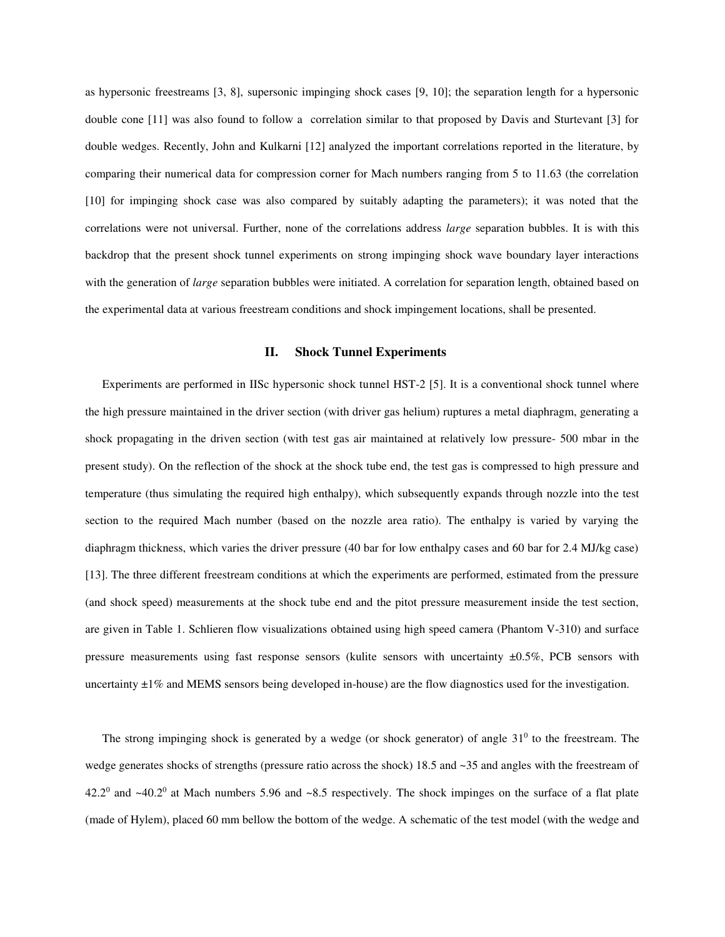as hypersonic freestreams [3, 8], supersonic impinging shock cases [9, 10]; the separation length for a hypersonic double cone [11] was also found to follow a correlation similar to that proposed by Davis and Sturtevant [3] for double wedges. Recently, John and Kulkarni [12] analyzed the important correlations reported in the literature, by comparing their numerical data for compression corner for Mach numbers ranging from 5 to 11.63 (the correlation [10] for impinging shock case was also compared by suitably adapting the parameters); it was noted that the correlations were not universal. Further, none of the correlations address *large* separation bubbles. It is with this backdrop that the present shock tunnel experiments on strong impinging shock wave boundary layer interactions with the generation of *large* separation bubbles were initiated. A correlation for separation length, obtained based on the experimental data at various freestream conditions and shock impingement locations, shall be presented.

## **II. Shock Tunnel Experiments**

Experiments are performed in IISc hypersonic shock tunnel HST-2 [5]. It is a conventional shock tunnel where the high pressure maintained in the driver section (with driver gas helium) ruptures a metal diaphragm, generating a shock propagating in the driven section (with test gas air maintained at relatively low pressure- 500 mbar in the present study). On the reflection of the shock at the shock tube end, the test gas is compressed to high pressure and temperature (thus simulating the required high enthalpy), which subsequently expands through nozzle into the test section to the required Mach number (based on the nozzle area ratio). The enthalpy is varied by varying the diaphragm thickness, which varies the driver pressure (40 bar for low enthalpy cases and 60 bar for 2.4 MJ/kg case) [13]. The three different freestream conditions at which the experiments are performed, estimated from the pressure (and shock speed) measurements at the shock tube end and the pitot pressure measurement inside the test section, are given in Table 1. Schlieren flow visualizations obtained using high speed camera (Phantom V-310) and surface pressure measurements using fast response sensors (kulite sensors with uncertainty ±0.5%, PCB sensors with uncertainty  $\pm 1\%$  and MEMS sensors being developed in-house) are the flow diagnostics used for the investigation.

The strong impinging shock is generated by a wedge (or shock generator) of angle  $31<sup>0</sup>$  to the freestream. The wedge generates shocks of strengths (pressure ratio across the shock) 18.5 and  $\sim$ 35 and angles with the freestream of  $42.2^{\circ}$  and  $~40.2^{\circ}$  at Mach numbers 5.96 and ~8.5 respectively. The shock impinges on the surface of a flat plate (made of Hylem), placed 60 mm bellow the bottom of the wedge. A schematic of the test model (with the wedge and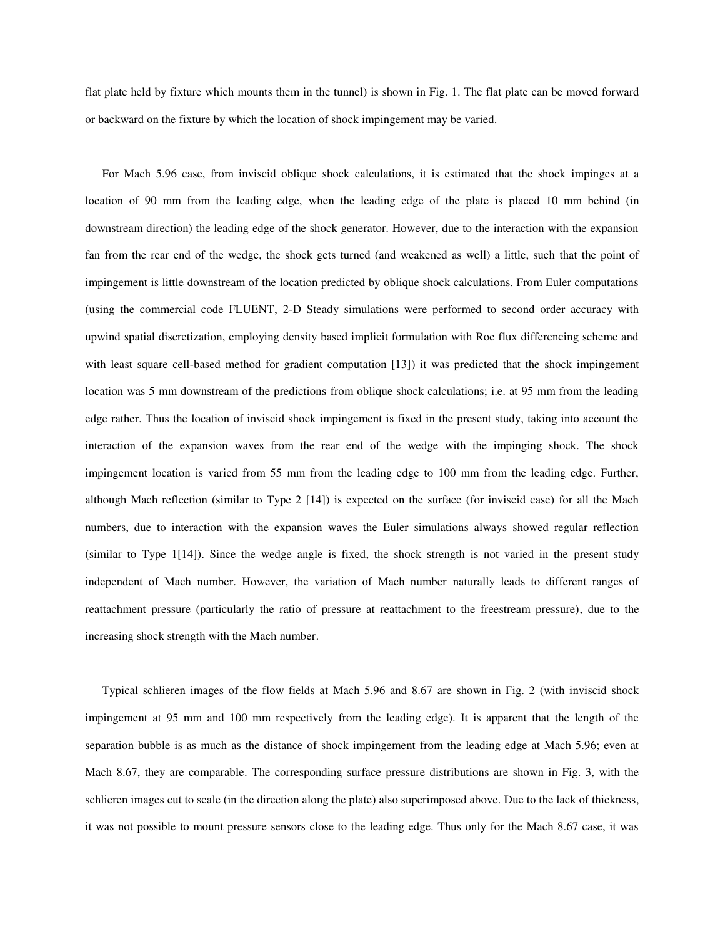flat plate held by fixture which mounts them in the tunnel) is shown in Fig. 1. The flat plate can be moved forward or backward on the fixture by which the location of shock impingement may be varied.

For Mach 5.96 case, from inviscid oblique shock calculations, it is estimated that the shock impinges at a location of 90 mm from the leading edge, when the leading edge of the plate is placed 10 mm behind (in downstream direction) the leading edge of the shock generator. However, due to the interaction with the expansion fan from the rear end of the wedge, the shock gets turned (and weakened as well) a little, such that the point of impingement is little downstream of the location predicted by oblique shock calculations. From Euler computations (using the commercial code FLUENT, 2-D Steady simulations were performed to second order accuracy with upwind spatial discretization, employing density based implicit formulation with Roe flux differencing scheme and with least square cell-based method for gradient computation [13]) it was predicted that the shock impingement location was 5 mm downstream of the predictions from oblique shock calculations; i.e. at 95 mm from the leading edge rather. Thus the location of inviscid shock impingement is fixed in the present study, taking into account the interaction of the expansion waves from the rear end of the wedge with the impinging shock. The shock impingement location is varied from 55 mm from the leading edge to 100 mm from the leading edge. Further, although Mach reflection (similar to Type 2 [14]) is expected on the surface (for inviscid case) for all the Mach numbers, due to interaction with the expansion waves the Euler simulations always showed regular reflection (similar to Type 1[14]). Since the wedge angle is fixed, the shock strength is not varied in the present study independent of Mach number. However, the variation of Mach number naturally leads to different ranges of reattachment pressure (particularly the ratio of pressure at reattachment to the freestream pressure), due to the increasing shock strength with the Mach number.

Typical schlieren images of the flow fields at Mach 5.96 and 8.67 are shown in Fig. 2 (with inviscid shock impingement at 95 mm and 100 mm respectively from the leading edge). It is apparent that the length of the separation bubble is as much as the distance of shock impingement from the leading edge at Mach 5.96; even at Mach 8.67, they are comparable. The corresponding surface pressure distributions are shown in Fig. 3, with the schlieren images cut to scale (in the direction along the plate) also superimposed above. Due to the lack of thickness, it was not possible to mount pressure sensors close to the leading edge. Thus only for the Mach 8.67 case, it was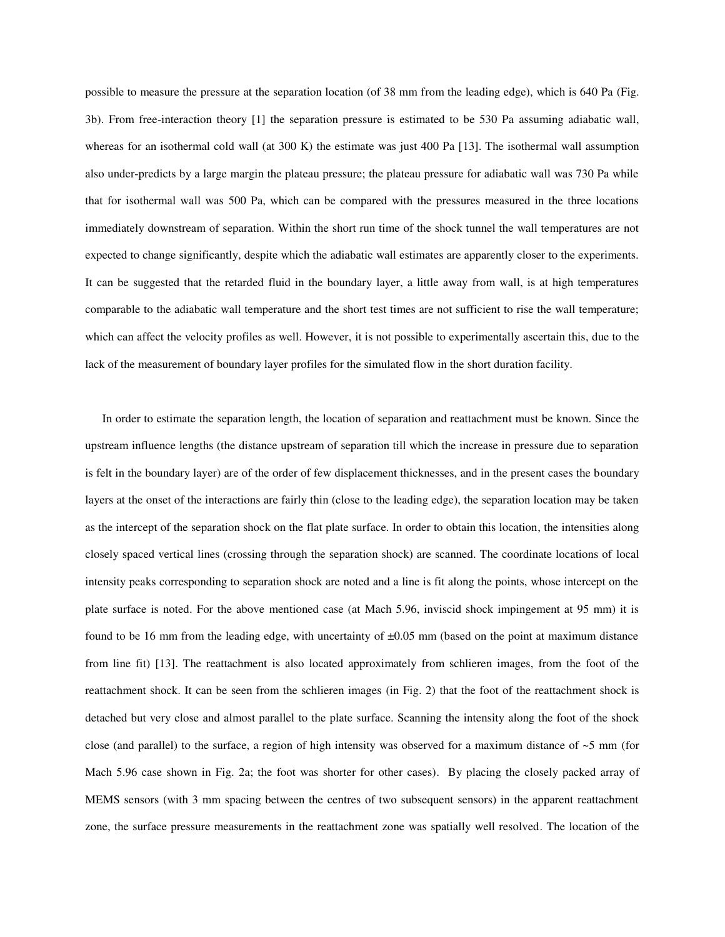possible to measure the pressure at the separation location (of 38 mm from the leading edge), which is 640 Pa (Fig. 3b). From free-interaction theory [1] the separation pressure is estimated to be 530 Pa assuming adiabatic wall, whereas for an isothermal cold wall (at 300 K) the estimate was just 400 Pa [13]. The isothermal wall assumption also under-predicts by a large margin the plateau pressure; the plateau pressure for adiabatic wall was 730 Pa while that for isothermal wall was 500 Pa, which can be compared with the pressures measured in the three locations immediately downstream of separation. Within the short run time of the shock tunnel the wall temperatures are not expected to change significantly, despite which the adiabatic wall estimates are apparently closer to the experiments. It can be suggested that the retarded fluid in the boundary layer, a little away from wall, is at high temperatures comparable to the adiabatic wall temperature and the short test times are not sufficient to rise the wall temperature; which can affect the velocity profiles as well. However, it is not possible to experimentally ascertain this, due to the lack of the measurement of boundary layer profiles for the simulated flow in the short duration facility.

In order to estimate the separation length, the location of separation and reattachment must be known. Since the upstream influence lengths (the distance upstream of separation till which the increase in pressure due to separation is felt in the boundary layer) are of the order of few displacement thicknesses, and in the present cases the boundary layers at the onset of the interactions are fairly thin (close to the leading edge), the separation location may be taken as the intercept of the separation shock on the flat plate surface. In order to obtain this location, the intensities along closely spaced vertical lines (crossing through the separation shock) are scanned. The coordinate locations of local intensity peaks corresponding to separation shock are noted and a line is fit along the points, whose intercept on the plate surface is noted. For the above mentioned case (at Mach 5.96, inviscid shock impingement at 95 mm) it is found to be 16 mm from the leading edge, with uncertainty of  $\pm 0.05$  mm (based on the point at maximum distance from line fit) [13]. The reattachment is also located approximately from schlieren images, from the foot of the reattachment shock. It can be seen from the schlieren images (in Fig. 2) that the foot of the reattachment shock is detached but very close and almost parallel to the plate surface. Scanning the intensity along the foot of the shock close (and parallel) to the surface, a region of high intensity was observed for a maximum distance of  $\sim$ 5 mm (for Mach 5.96 case shown in Fig. 2a; the foot was shorter for other cases). By placing the closely packed array of MEMS sensors (with 3 mm spacing between the centres of two subsequent sensors) in the apparent reattachment zone, the surface pressure measurements in the reattachment zone was spatially well resolved. The location of the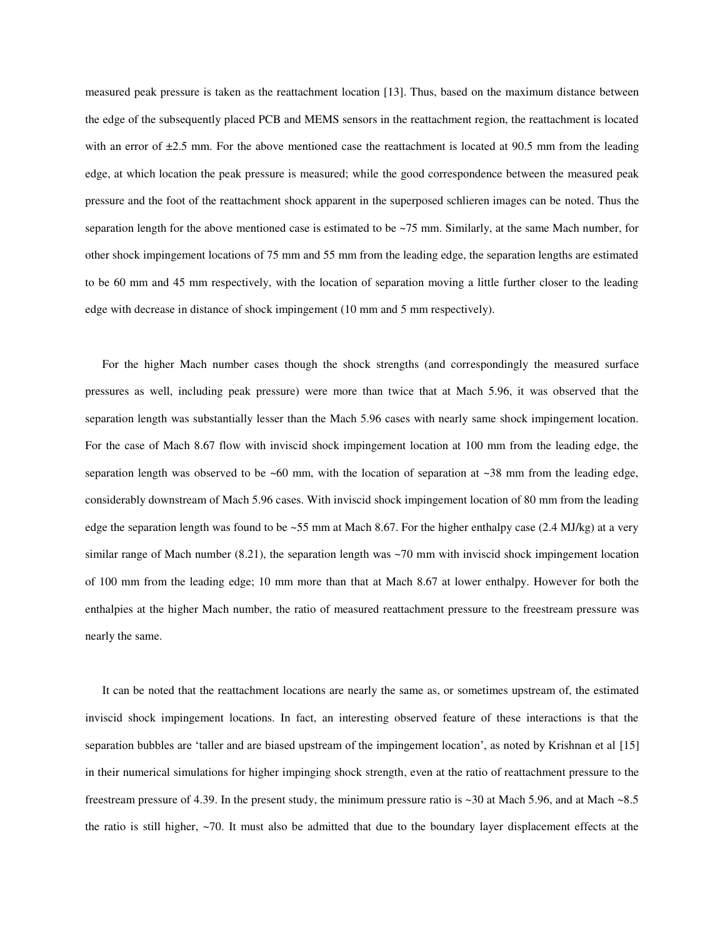measured peak pressure is taken as the reattachment location [13]. Thus, based on the maximum distance between the edge of the subsequently placed PCB and MEMS sensors in the reattachment region, the reattachment is located with an error of  $\pm 2.5$  mm. For the above mentioned case the reattachment is located at 90.5 mm from the leading edge, at which location the peak pressure is measured; while the good correspondence between the measured peak pressure and the foot of the reattachment shock apparent in the superposed schlieren images can be noted. Thus the separation length for the above mentioned case is estimated to be  $\sim$ 75 mm. Similarly, at the same Mach number, for other shock impingement locations of 75 mm and 55 mm from the leading edge, the separation lengths are estimated to be 60 mm and 45 mm respectively, with the location of separation moving a little further closer to the leading edge with decrease in distance of shock impingement (10 mm and 5 mm respectively).

For the higher Mach number cases though the shock strengths (and correspondingly the measured surface pressures as well, including peak pressure) were more than twice that at Mach 5.96, it was observed that the separation length was substantially lesser than the Mach 5.96 cases with nearly same shock impingement location. For the case of Mach 8.67 flow with inviscid shock impingement location at 100 mm from the leading edge, the separation length was observed to be  $\sim 60$  mm, with the location of separation at  $\sim 38$  mm from the leading edge, considerably downstream of Mach 5.96 cases. With inviscid shock impingement location of 80 mm from the leading edge the separation length was found to be ~55 mm at Mach 8.67. For the higher enthalpy case (2.4 MJ/kg) at a very similar range of Mach number  $(8.21)$ , the separation length was  $\sim 70$  mm with inviscid shock impingement location of 100 mm from the leading edge; 10 mm more than that at Mach 8.67 at lower enthalpy. However for both the enthalpies at the higher Mach number, the ratio of measured reattachment pressure to the freestream pressure was nearly the same.

It can be noted that the reattachment locations are nearly the same as, or sometimes upstream of, the estimated inviscid shock impingement locations. In fact, an interesting observed feature of these interactions is that the separation bubbles are 'taller and are biased upstream of the impingement location', as noted by Krishnan et al [15] in their numerical simulations for higher impinging shock strength, even at the ratio of reattachment pressure to the freestream pressure of 4.39. In the present study, the minimum pressure ratio is ~30 at Mach 5.96, and at Mach ~8.5 the ratio is still higher, ~70. It must also be admitted that due to the boundary layer displacement effects at the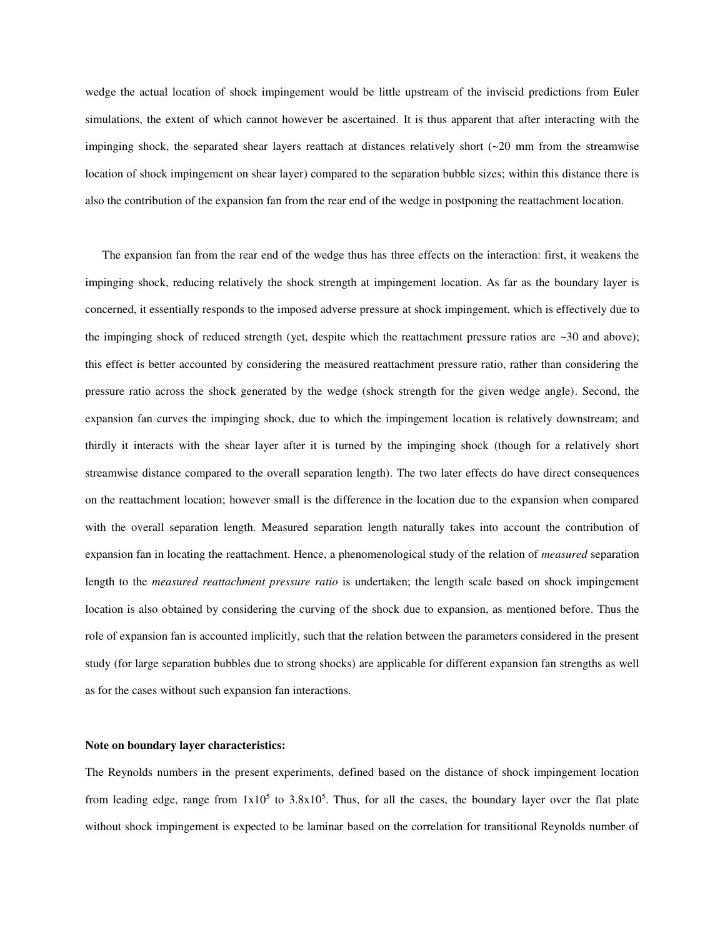wedge the actual location of shock impingement would be little upstream of the inviscid predictions from Euler simulations, the extent of which cannot however be ascertained. It is thus apparent that after interacting with the impinging shock, the separated shear layers reattach at distances relatively short  $\left($  ~20 mm from the streamwise location of shock impingement on shear layer) compared to the separation bubble sizes; within this distance there is also the contribution of the expansion fan from the rear end of the wedge in postponing the reattachment location.

The expansion fan from the rear end of the wedge thus has three effects on the interaction: first, it weakens the impinging shock, reducing relatively the shock strength at impingement location. As far as the boundary layer is concerned, it essentially responds to the imposed adverse pressure at shock impingement, which is effectively due to the impinging shock of reduced strength (yet, despite which the reattachment pressure ratios are  $\sim$ 30 and above); this effect is better accounted by considering the measured reattachment pressure ratio, rather than considering the pressure ratio across the shock generated by the wedge (shock strength for the given wedge angle). Second, the expansion fan curves the impinging shock, due to which the impingement location is relatively downstream; and thirdly it interacts with the shear layer after it is turned by the impinging shock (though for a relatively short streamwise distance compared to the overall separation length). The two later effects do have direct consequences on the reattachment location; however small is the difference in the location due to the expansion when compared with the overall separation length. Measured separation length naturally takes into account the contribution of expansion fan in locating the reattachment. Hence, a phenomenological study of the relation of *measured* separation length to the *measured reattachment pressure ratio* is undertaken; the length scale based on shock impingement location is also obtained by considering the curving of the shock due to expansion, as mentioned before. Thus the role of expansion fan is accounted implicitly, such that the relation between the parameters considered in the present study (for large separation bubbles due to strong shocks) are applicable for different expansion fan strengths as well as for the cases without such expansion fan interactions.

#### **Note on boundary layer characteristics:**

The Reynolds numbers in the present experiments, defined based on the distance of shock impingement location from leading edge, range from  $1x10^5$  to  $3.8x10^5$ . Thus, for all the cases, the boundary layer over the flat plate without shock impingement is expected to be laminar based on the correlation for transitional Reynolds number of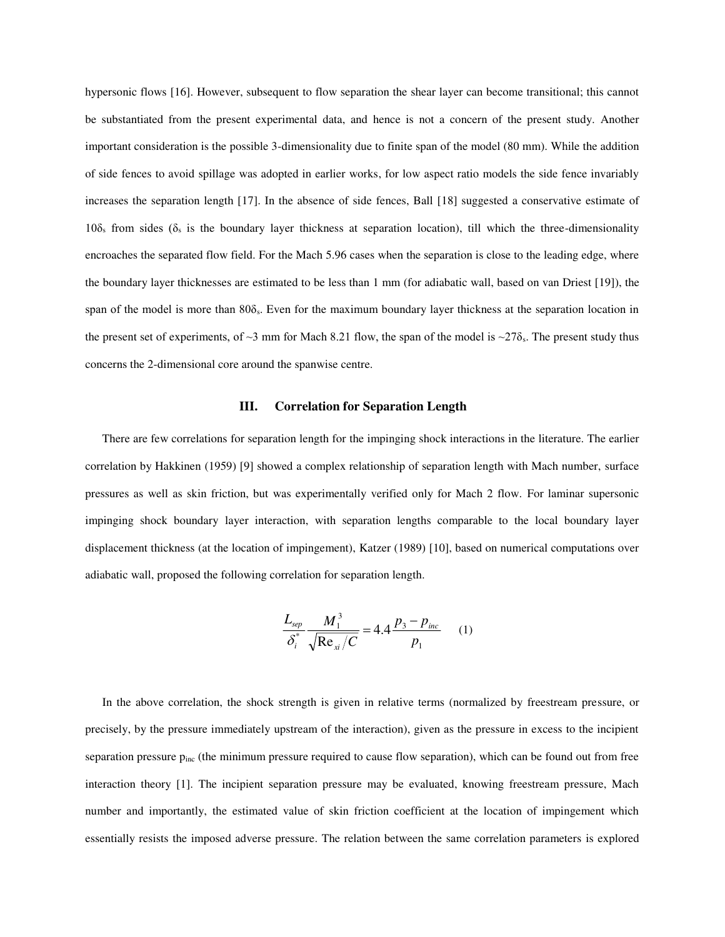hypersonic flows [16]. However, subsequent to flow separation the shear layer can become transitional; this cannot be substantiated from the present experimental data, and hence is not a concern of the present study. Another important consideration is the possible 3-dimensionality due to finite span of the model (80 mm). While the addition of side fences to avoid spillage was adopted in earlier works, for low aspect ratio models the side fence invariably increases the separation length [17]. In the absence of side fences, Ball [18] suggested a conservative estimate of  $10\delta_s$  from sides ( $\delta_s$  is the boundary layer thickness at separation location), till which the three-dimensionality encroaches the separated flow field. For the Mach 5.96 cases when the separation is close to the leading edge, where the boundary layer thicknesses are estimated to be less than 1 mm (for adiabatic wall, based on van Driest [19]), the span of the model is more than 80δs. Even for the maximum boundary layer thickness at the separation location in the present set of experiments, of  $\sim$ 3 mm for Mach 8.21 flow, the span of the model is  $\sim$ 27 $\delta_s$ . The present study thus concerns the 2-dimensional core around the spanwise centre.

## **III. Correlation for Separation Length**

There are few correlations for separation length for the impinging shock interactions in the literature. The earlier correlation by Hakkinen (1959) [9] showed a complex relationship of separation length with Mach number, surface pressures as well as skin friction, but was experimentally verified only for Mach 2 flow. For laminar supersonic impinging shock boundary layer interaction, with separation lengths comparable to the local boundary layer displacement thickness (at the location of impingement), Katzer (1989) [10], based on numerical computations over adiabatic wall, proposed the following correlation for separation length.

$$
\frac{L_{sep}}{\delta_i^*} \frac{M_1^3}{\sqrt{\text{Re}_x/C}} = 4.4 \frac{p_3 - p_{inc}}{p_1} \qquad (1)
$$

In the above correlation, the shock strength is given in relative terms (normalized by freestream pressure, or precisely, by the pressure immediately upstream of the interaction), given as the pressure in excess to the incipient separation pressure  $p_{inc}$  (the minimum pressure required to cause flow separation), which can be found out from free interaction theory [1]. The incipient separation pressure may be evaluated, knowing freestream pressure, Mach number and importantly, the estimated value of skin friction coefficient at the location of impingement which essentially resists the imposed adverse pressure. The relation between the same correlation parameters is explored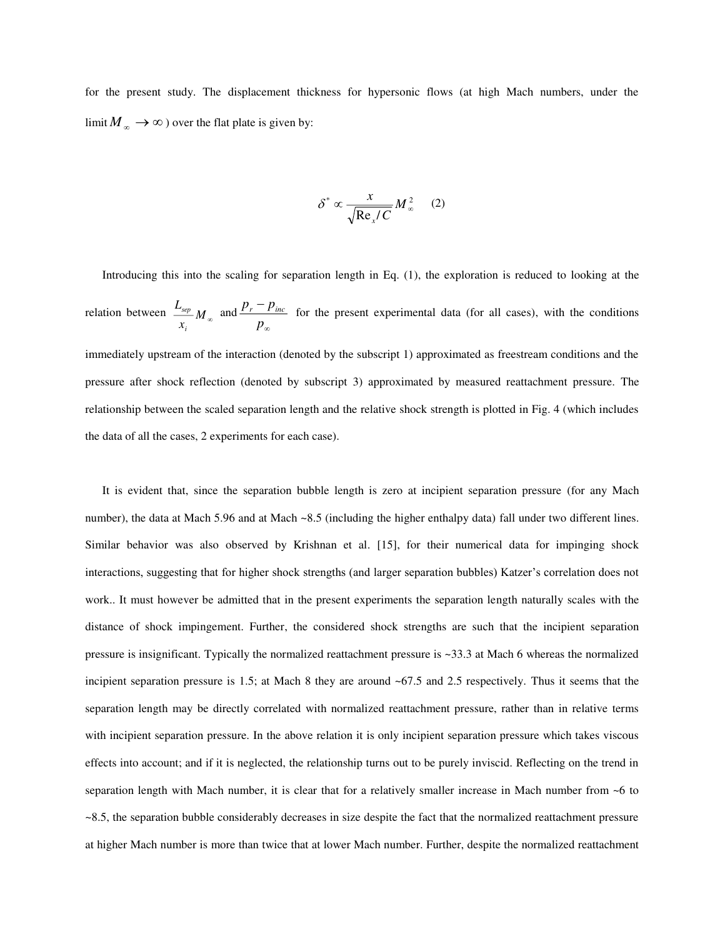for the present study. The displacement thickness for hypersonic flows (at high Mach numbers, under the limit  $M_{\infty} \to \infty$  ) over the flat plate is given by:

$$
\delta^* \propto \frac{x}{\sqrt{\text{Re}_x/C}} M_\infty^2 \quad (2)
$$

Introducing this into the scaling for separation length in Eq. (1), the exploration is reduced to looking at the relation between  $\frac{Z_{sep}}{X} M_{\infty}$ *L*  $\frac{sep}{1}M$  and ∞ Ξ *p*  $p_r - p_{inc}$  for the present experimental data (for all cases), with the conditions immediately upstream of the interaction (denoted by the subscript 1) approximated as freestream conditions and the pressure after shock reflection (denoted by subscript 3) approximated by measured reattachment pressure. The relationship between the scaled separation length and the relative shock strength is plotted in Fig. 4 (which includes the data of all the cases, 2 experiments for each case).

It is evident that, since the separation bubble length is zero at incipient separation pressure (for any Mach number), the data at Mach 5.96 and at Mach ~8.5 (including the higher enthalpy data) fall under two different lines. Similar behavior was also observed by Krishnan et al. [15], for their numerical data for impinging shock interactions, suggesting that for higher shock strengths (and larger separation bubbles) Katzer's correlation does not work.. It must however be admitted that in the present experiments the separation length naturally scales with the distance of shock impingement. Further, the considered shock strengths are such that the incipient separation pressure is insignificant. Typically the normalized reattachment pressure is  $\sim$ 33.3 at Mach 6 whereas the normalized incipient separation pressure is 1.5; at Mach 8 they are around  $~67.5$  and 2.5 respectively. Thus it seems that the separation length may be directly correlated with normalized reattachment pressure, rather than in relative terms with incipient separation pressure. In the above relation it is only incipient separation pressure which takes viscous effects into account; and if it is neglected, the relationship turns out to be purely inviscid. Reflecting on the trend in separation length with Mach number, it is clear that for a relatively smaller increase in Mach number from ~6 to ~8.5, the separation bubble considerably decreases in size despite the fact that the normalized reattachment pressure at higher Mach number is more than twice that at lower Mach number. Further, despite the normalized reattachment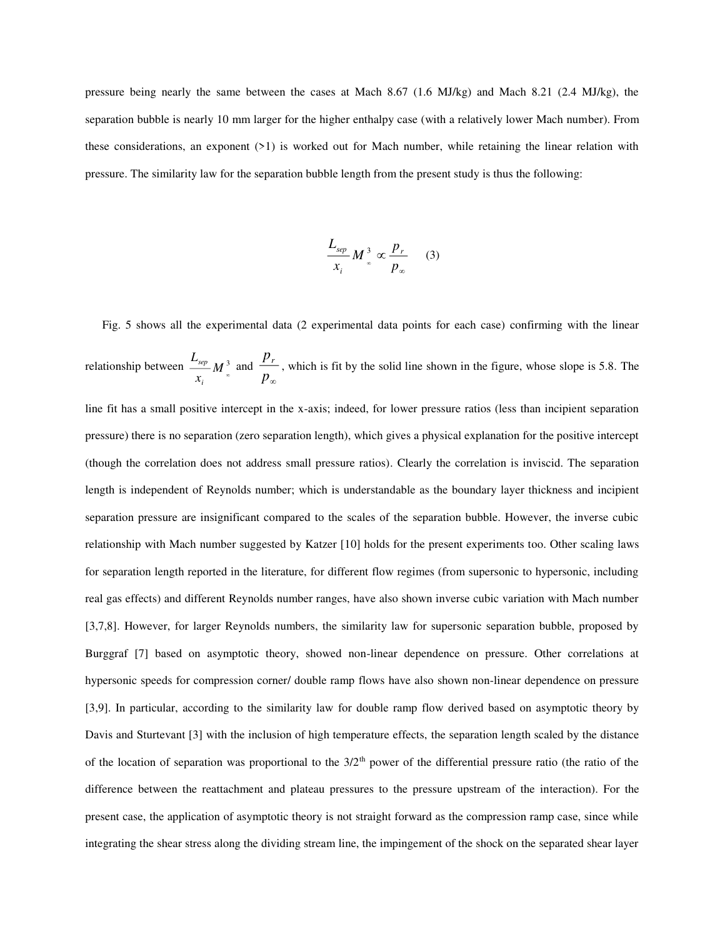pressure being nearly the same between the cases at Mach 8.67 (1.6 MJ/kg) and Mach 8.21 (2.4 MJ/kg), the separation bubble is nearly 10 mm larger for the higher enthalpy case (with a relatively lower Mach number). From these considerations, an exponent (>1) is worked out for Mach number, while retaining the linear relation with pressure. The similarity law for the separation bubble length from the present study is thus the following:

$$
\frac{L_{sep}}{x_i} M_{\infty}^3 \propto \frac{p_r}{p_{\infty}} \qquad (3)
$$

Fig. 5 shows all the experimental data (2 experimental data points for each case) confirming with the linear relationship between  $\frac{Z_{sep}}{X} M_{\infty}^3$ *L i*  $\frac{sep}{2}$  *M*<sup>3</sup> and  $p_{\scriptscriptstyle \infty}$  $p_r$ , which is fit by the solid line shown in the figure, whose slope is 5.8. The

line fit has a small positive intercept in the x-axis; indeed, for lower pressure ratios (less than incipient separation pressure) there is no separation (zero separation length), which gives a physical explanation for the positive intercept (though the correlation does not address small pressure ratios). Clearly the correlation is inviscid. The separation length is independent of Reynolds number; which is understandable as the boundary layer thickness and incipient separation pressure are insignificant compared to the scales of the separation bubble. However, the inverse cubic relationship with Mach number suggested by Katzer [10] holds for the present experiments too. Other scaling laws for separation length reported in the literature, for different flow regimes (from supersonic to hypersonic, including real gas effects) and different Reynolds number ranges, have also shown inverse cubic variation with Mach number [3,7,8]. However, for larger Reynolds numbers, the similarity law for supersonic separation bubble, proposed by Burggraf [7] based on asymptotic theory, showed non-linear dependence on pressure. Other correlations at hypersonic speeds for compression corner/ double ramp flows have also shown non-linear dependence on pressure [3,9]. In particular, according to the similarity law for double ramp flow derived based on asymptotic theory by Davis and Sturtevant [3] with the inclusion of high temperature effects, the separation length scaled by the distance of the location of separation was proportional to the  $3/2<sup>th</sup>$  power of the differential pressure ratio (the ratio of the difference between the reattachment and plateau pressures to the pressure upstream of the interaction). For the present case, the application of asymptotic theory is not straight forward as the compression ramp case, since while integrating the shear stress along the dividing stream line, the impingement of the shock on the separated shear layer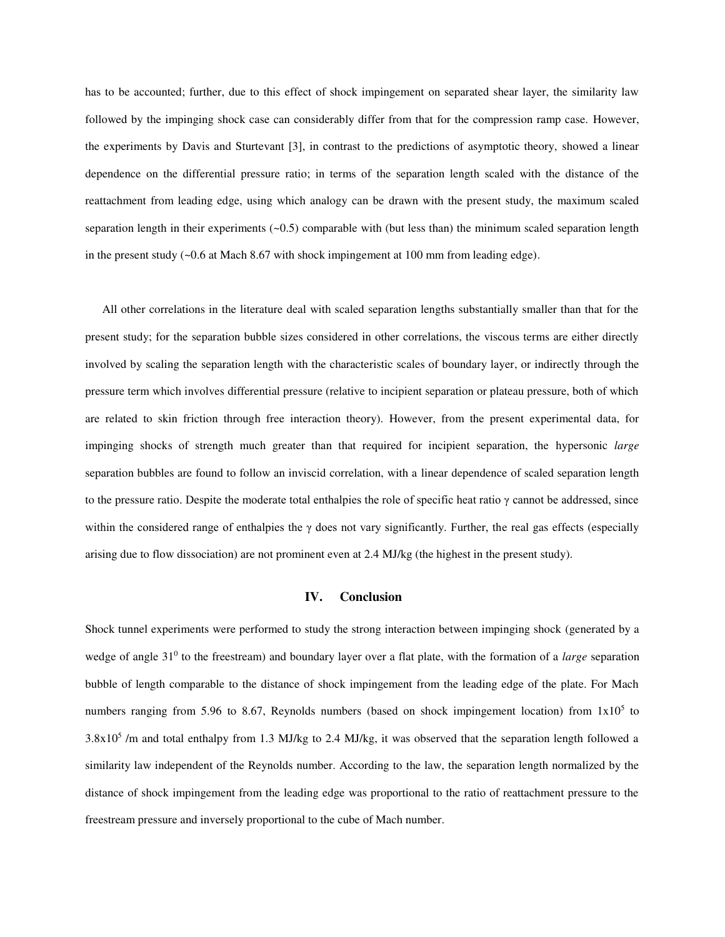has to be accounted; further, due to this effect of shock impingement on separated shear layer, the similarity law followed by the impinging shock case can considerably differ from that for the compression ramp case. However, the experiments by Davis and Sturtevant [3], in contrast to the predictions of asymptotic theory, showed a linear dependence on the differential pressure ratio; in terms of the separation length scaled with the distance of the reattachment from leading edge, using which analogy can be drawn with the present study, the maximum scaled separation length in their experiments  $(-0.5)$  comparable with (but less than) the minimum scaled separation length in the present study  $(\sim 0.6$  at Mach 8.67 with shock impingement at 100 mm from leading edge).

All other correlations in the literature deal with scaled separation lengths substantially smaller than that for the present study; for the separation bubble sizes considered in other correlations, the viscous terms are either directly involved by scaling the separation length with the characteristic scales of boundary layer, or indirectly through the pressure term which involves differential pressure (relative to incipient separation or plateau pressure, both of which are related to skin friction through free interaction theory). However, from the present experimental data, for impinging shocks of strength much greater than that required for incipient separation, the hypersonic *large* separation bubbles are found to follow an inviscid correlation, with a linear dependence of scaled separation length to the pressure ratio. Despite the moderate total enthalpies the role of specific heat ratio  $\gamma$  cannot be addressed, since within the considered range of enthalpies the  $\gamma$  does not vary significantly. Further, the real gas effects (especially arising due to flow dissociation) are not prominent even at 2.4 MJ/kg (the highest in the present study).

### **IV. Conclusion**

Shock tunnel experiments were performed to study the strong interaction between impinging shock (generated by a wedge of angle 31<sup>0</sup> to the freestream) and boundary layer over a flat plate, with the formation of a *large* separation bubble of length comparable to the distance of shock impingement from the leading edge of the plate. For Mach numbers ranging from 5.96 to 8.67, Reynolds numbers (based on shock impingement location) from  $1x10<sup>5</sup>$  to 3.8x10<sup>5</sup> /m and total enthalpy from 1.3 MJ/kg to 2.4 MJ/kg, it was observed that the separation length followed a similarity law independent of the Reynolds number. According to the law, the separation length normalized by the distance of shock impingement from the leading edge was proportional to the ratio of reattachment pressure to the freestream pressure and inversely proportional to the cube of Mach number.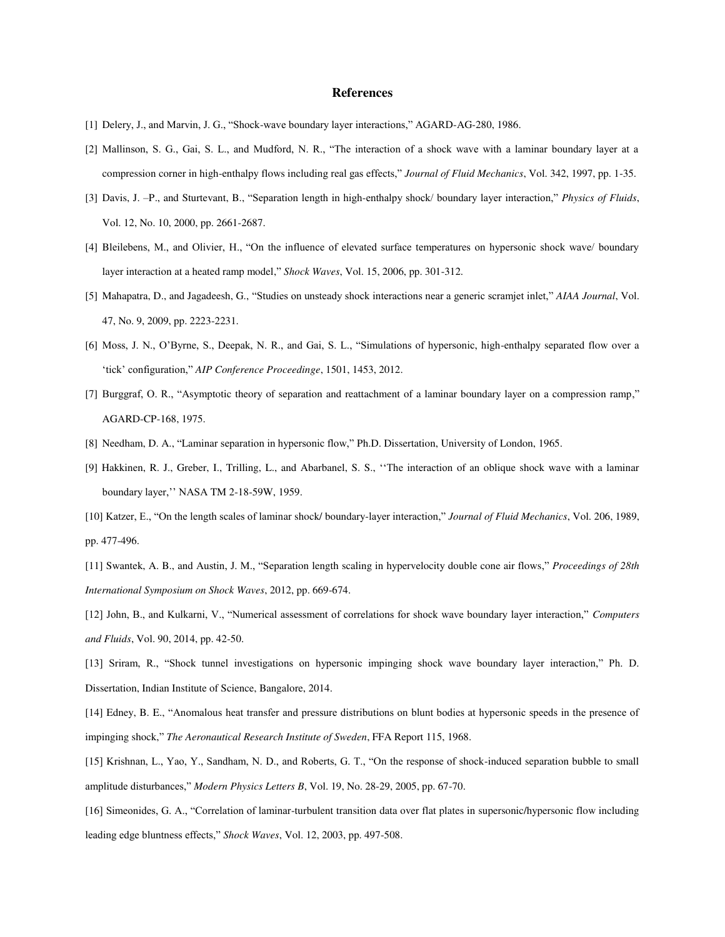#### **References**

- [1] Delery, J., and Marvin, J. G., "Shock-wave boundary layer interactions," AGARD-AG-280, 1986.
- [2] Mallinson, S. G., Gai, S. L., and Mudford, N. R., "The interaction of a shock wave with a laminar boundary layer at a compression corner in high-enthalpy flows including real gas effects," *Journal of Fluid Mechanics*, Vol. 342, 1997, pp. 1-35.
- [3] Davis, J. –P., and Sturtevant, B., "Separation length in high-enthalpy shock/ boundary layer interaction," *Physics of Fluids*, Vol. 12, No. 10, 2000, pp. 2661-2687.
- [4] Bleilebens, M., and Olivier, H., "On the influence of elevated surface temperatures on hypersonic shock wave/ boundary layer interaction at a heated ramp model," *Shock Waves*, Vol. 15, 2006, pp. 301-312.
- [5] Mahapatra, D., and Jagadeesh, G., "Studies on unsteady shock interactions near a generic scramjet inlet," *AIAA Journal*, Vol. 47, No. 9, 2009, pp. 2223-2231.
- [6] Moss, J. N., O'Byrne, S., Deepak, N. R., and Gai, S. L., "Simulations of hypersonic, high-enthalpy separated flow over a 'tick' configuration," *AIP Conference Proceedinge*, 1501, 1453, 2012.
- [7] Burggraf, O. R., "Asymptotic theory of separation and reattachment of a laminar boundary layer on a compression ramp," AGARD-CP-168, 1975.
- [8] Needham, D. A., "Laminar separation in hypersonic flow," Ph.D. Dissertation, University of London, 1965.
- [9] Hakkinen, R. J., Greber, I., Trilling, L., and Abarbanel, S. S., ''The interaction of an oblique shock wave with a laminar boundary layer,'' NASA TM 2-18-59W, 1959.
- [10] Katzer, E., "On the length scales of laminar shock/ boundary-layer interaction," *Journal of Fluid Mechanics*, Vol. 206, 1989, pp. 477-496.
- [11] Swantek, A. B., and Austin, J. M., "Separation length scaling in hypervelocity double cone air flows," *Proceedings of 28th International Symposium on Shock Waves*, 2012, pp. 669-674.
- [12] John, B., and Kulkarni, V., "Numerical assessment of correlations for shock wave boundary layer interaction," *Computers and Fluids*, Vol. 90, 2014, pp. 42-50.
- [13] Sriram, R., "Shock tunnel investigations on hypersonic impinging shock wave boundary layer interaction," Ph. D. Dissertation, Indian Institute of Science, Bangalore, 2014.
- [14] Edney, B. E., "Anomalous heat transfer and pressure distributions on blunt bodies at hypersonic speeds in the presence of impinging shock," *The Aeronautical Research Institute of Sweden*, FFA Report 115, 1968.
- [15] Krishnan, L., Yao, Y., Sandham, N. D., and Roberts, G. T., "On the response of shock-induced separation bubble to small amplitude disturbances," *Modern Physics Letters B*, Vol. 19, No. 28-29, 2005, pp. 67-70.
- [16] Simeonides, G. A., "Correlation of laminar-turbulent transition data over flat plates in supersonic/hypersonic flow including leading edge bluntness effects," *Shock Waves*, Vol. 12, 2003, pp. 497-508.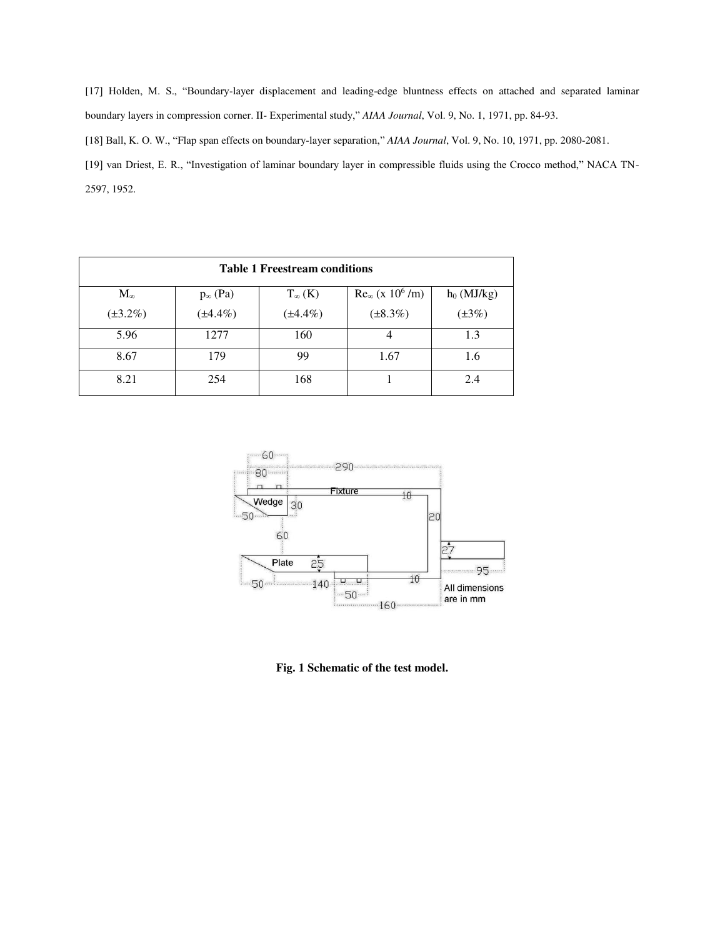[17] Holden, M. S., "Boundary-layer displacement and leading-edge bluntness effects on attached and separated laminar boundary layers in compression corner. II- Experimental study," *AIAA Journal*, Vol. 9, No. 1, 1971, pp. 84-93.

[18] Ball, K. O. W., "Flap span effects on boundary-layer separation," *AIAA Journal*, Vol. 9, No. 10, 1971, pp. 2080-2081.

[19] van Driest, E. R., "Investigation of laminar boundary layer in compressible fluids using the Crocco method," NACA TN-2597, 1952.

| <b>Table 1 Freestream conditions</b> |                   |                  |                                      |               |  |  |
|--------------------------------------|-------------------|------------------|--------------------------------------|---------------|--|--|
| $M_{\infty}$                         | $p_{\infty}$ (Pa) | $T_{\infty}$ (K) | $Re_{\infty}$ (x 10 <sup>6</sup> /m) | $h_0$ (MJ/kg) |  |  |
| $(\pm 3.2\%)$                        | $(\pm 4.4\%)$     | $(\pm 4.4\%)$    | $(\pm 8.3\%)$                        | $(\pm 3\%)$   |  |  |
| 5.96                                 | 1277              | 160              |                                      | 1.3           |  |  |
| 8.67                                 | 179               | 99               | 1.67                                 | 1.6           |  |  |
| 8.21                                 | 254               | 168              |                                      | 2.4           |  |  |



**Fig. 1 Schematic of the test model.**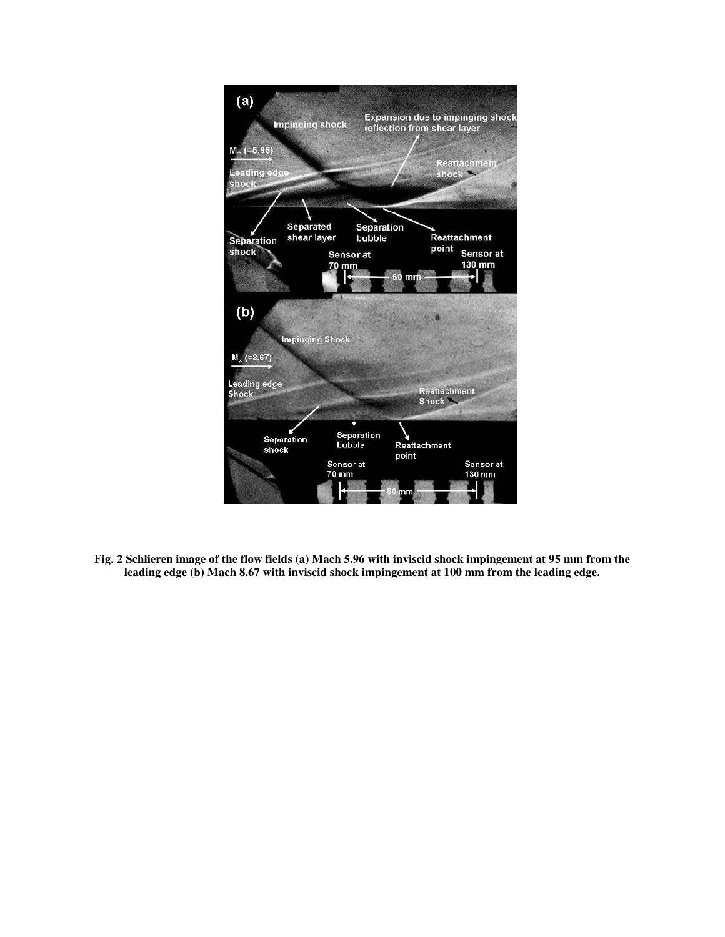

**Fig. 2 Schlieren image of the flow fields (a) Mach 5.96 with inviscid shock impingement at 95 mm from the leading edge (b) Mach 8.67 with inviscid shock impingement at 100 mm from the leading edge.**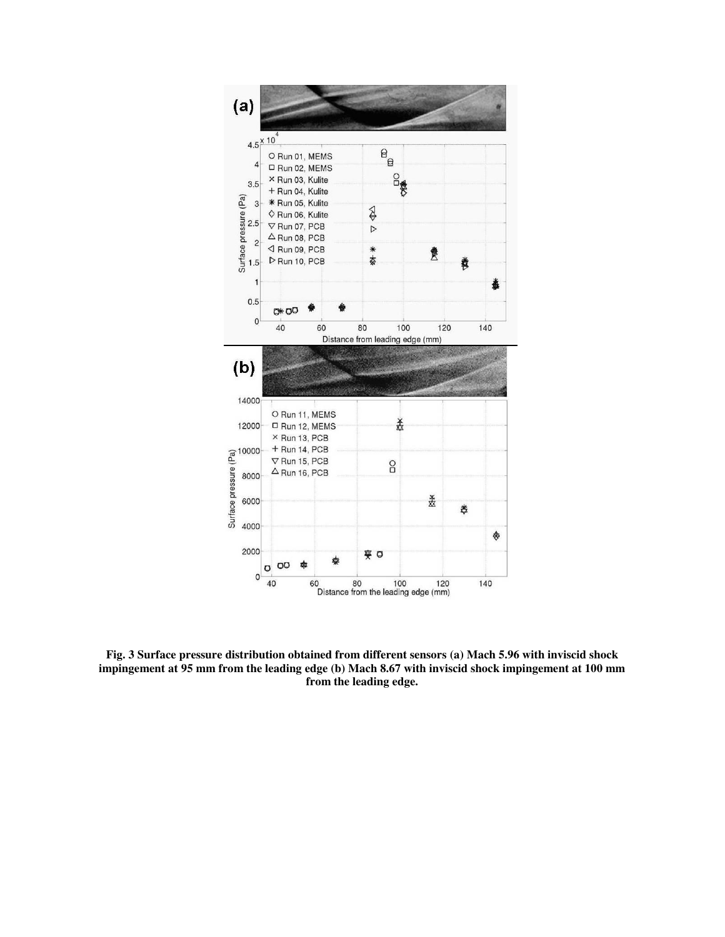

**Fig. 3 Surface pressure distribution obtained from different sensors (a) Mach 5.96 with inviscid shock impingement at 95 mm from the leading edge (b) Mach 8.67 with inviscid shock impingement at 100 mm from the leading edge.**